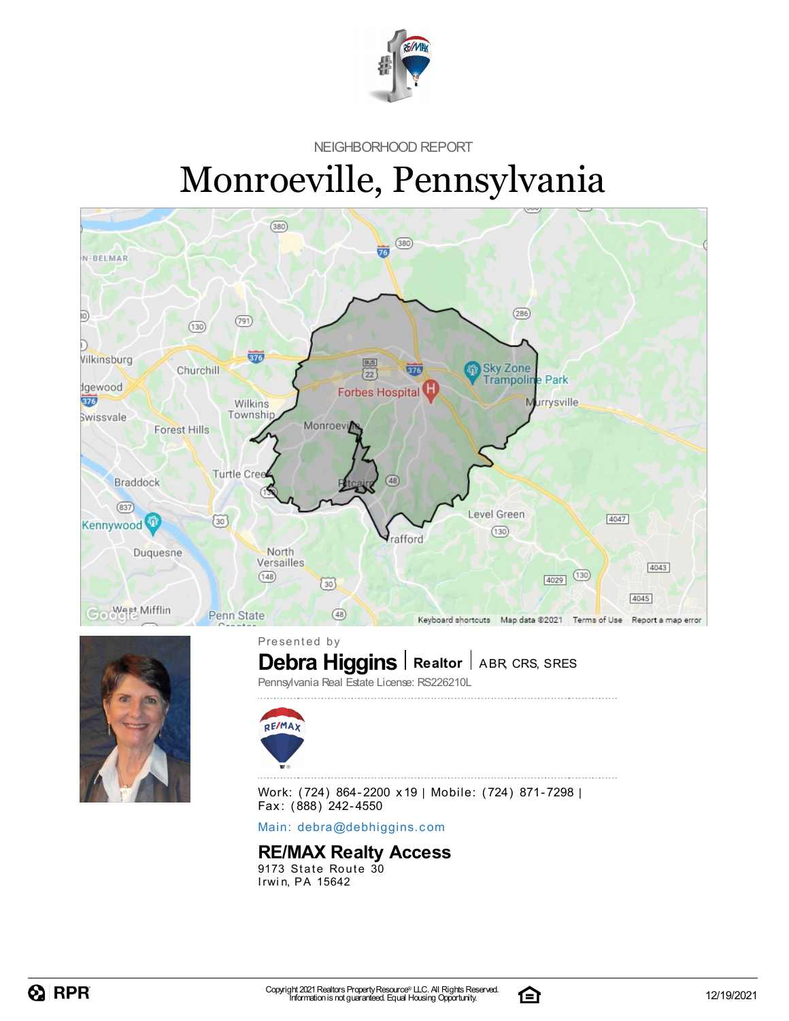

NEIGHBORHOOD REPORT

# Monroeville, Pennsylvania





**Debra Higgins** | Realtor | ABR, CRS, SRES Presented by Pennsylvania Real Estate License: RS226210L



Work: (724) 864-2200 x19 | Mobile: (724) 871-7298 | Fax: (888) 242-4550

Main: debra[@](mailto:debra@debhiggins.com)debhiggins.com

#### **RE/MAX Realty Access**

9173 State Route 30 Irwin, PA 15642

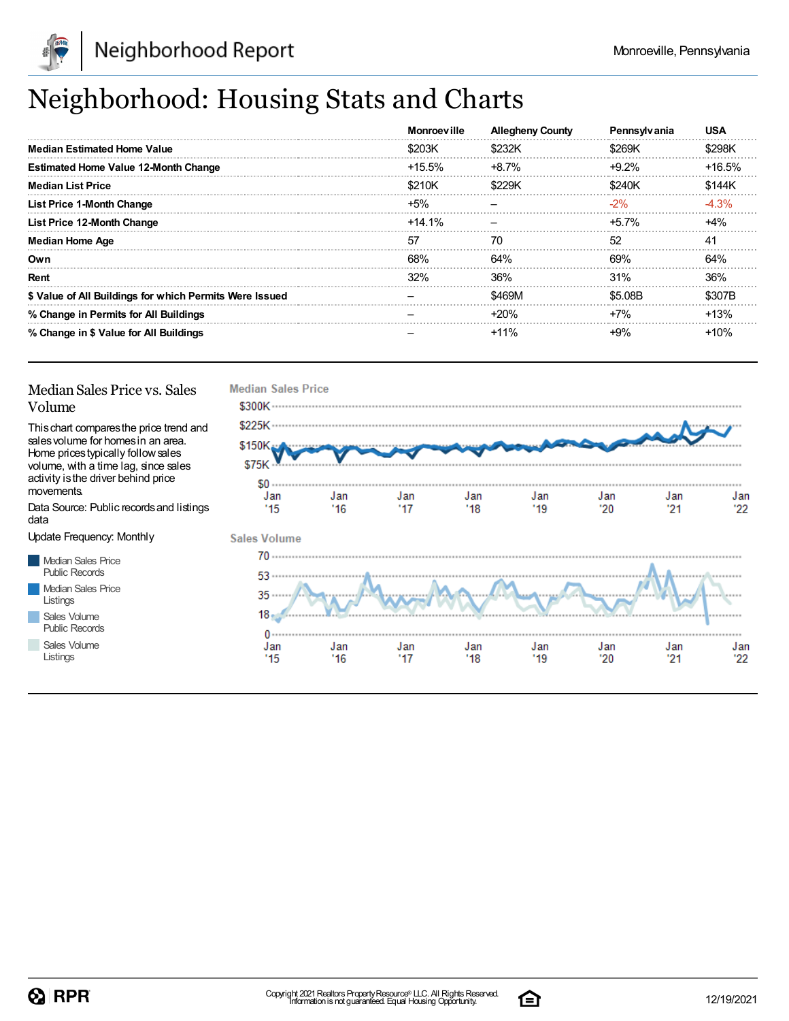

## Neighborhood: Housing Stats and Charts

|                                                         | <b>Monroeville</b> | <b>Allegheny County</b> | <b>Pennsylvania</b> | <b>USA</b> |
|---------------------------------------------------------|--------------------|-------------------------|---------------------|------------|
| <b>Median Estimated Home Value</b>                      | \$203K             | \$232K                  | \$269K              | \$298K     |
| <b>Estimated Home Value 12-Month Change</b>             | $+15.5\%$          | $+8.7\%$                | $+9.2\%$            | +16.5%     |
| <b>Median List Price</b>                                | \$210K             | \$229K                  | \$240K              | \$144K     |
| <b>List Price 1-Month Change</b>                        | $+5%$              |                         | $-2%$               | $-4.3%$    |
| List Price 12-Month Change                              | $+14.1\%$          |                         | $+5.7\%$            | $+4%$      |
| <b>Median Home Age</b>                                  | 57                 | 70                      | 52                  | 41         |
| Own                                                     | 68%                | 64%                     | 69%                 | 64%        |
| Rent                                                    | 32%                | 36%                     | 31%                 | 36%        |
| \$ Value of All Buildings for which Permits Were Issued |                    | \$469M                  | \$5.08B             | \$307B     |
| % Change in Permits for All Buildings                   |                    | $+20%$                  | $+7%$               | $+13%$     |
| % Change in \$ Value for All Buildings                  |                    | $+11%$                  | $+9\%$              | $+10%$     |

#### Median Sales Price vs. Sales Volume

Thischart comparesthe price trend and salesvolume for homesin an area. Home pricestypically followsales volume, with a time lag, since sales activity is the driver behind price movements.

Data Source: Public recordsand listings data

Update Frequency: Monthly

Median Sales Price Public Records Median Sales Price Listings Sales Volume

Public Records Sales Volume

Listings



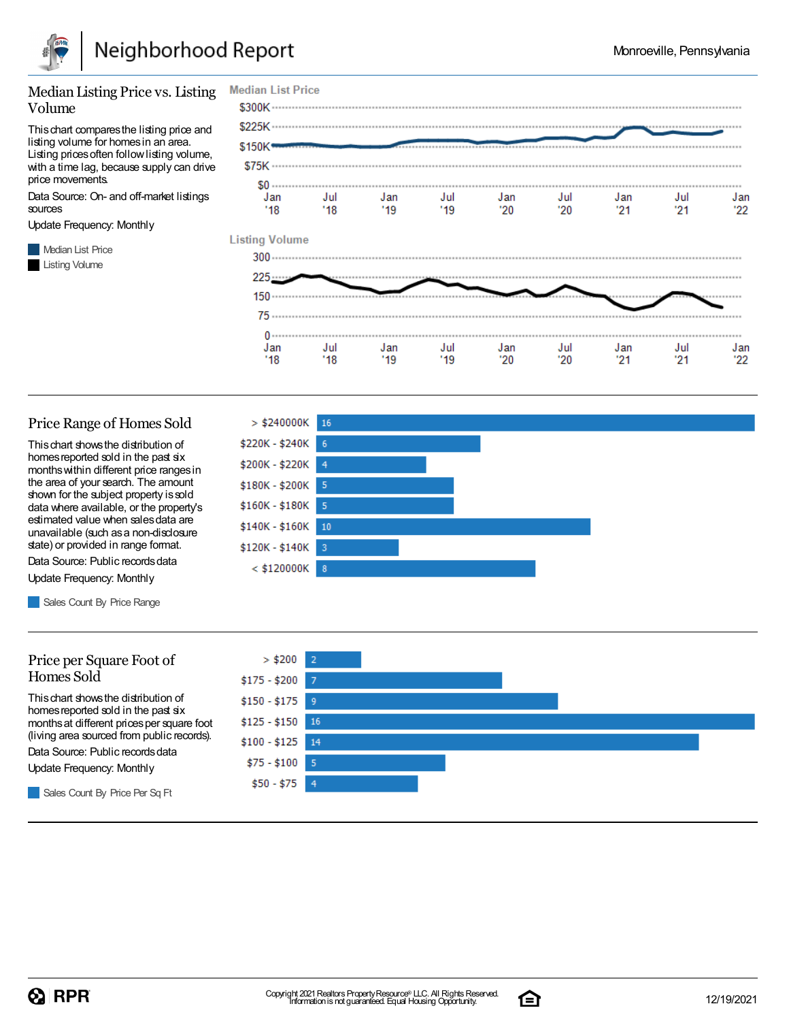

#### Median Listing Price vs. Listing Volume

Thischart comparesthe listing price and listing volume for homesin an area. Listing prices often follow listing volume, with a time lag, because supply can drive price movements.

Data Source: On- and off-market listings sources

Update Frequency: Monthly

**Median List Price** Listing Volume



#### Price Range of Homes Sold

Thischart showsthe distribution of homes reported sold in the past six monthswithin different price rangesin the area of your search. The amount shown for the subject property issold data where available, or the property's estimated value when salesdata are unavailable (such asa non-disclosure state) or provided in range format.

Data Source: Public records data Update Frequency: Monthly

Sales Count By Price Range

#### Price per Square Foot of Homes Sold

Thischart showsthe distribution of homes reported sold in the past six monthsat different pricesper square foot (living area sourced from public records).

Data Source: Public records data

Update Frequency: Monthly

Sales Count By Price Per Sq Ft





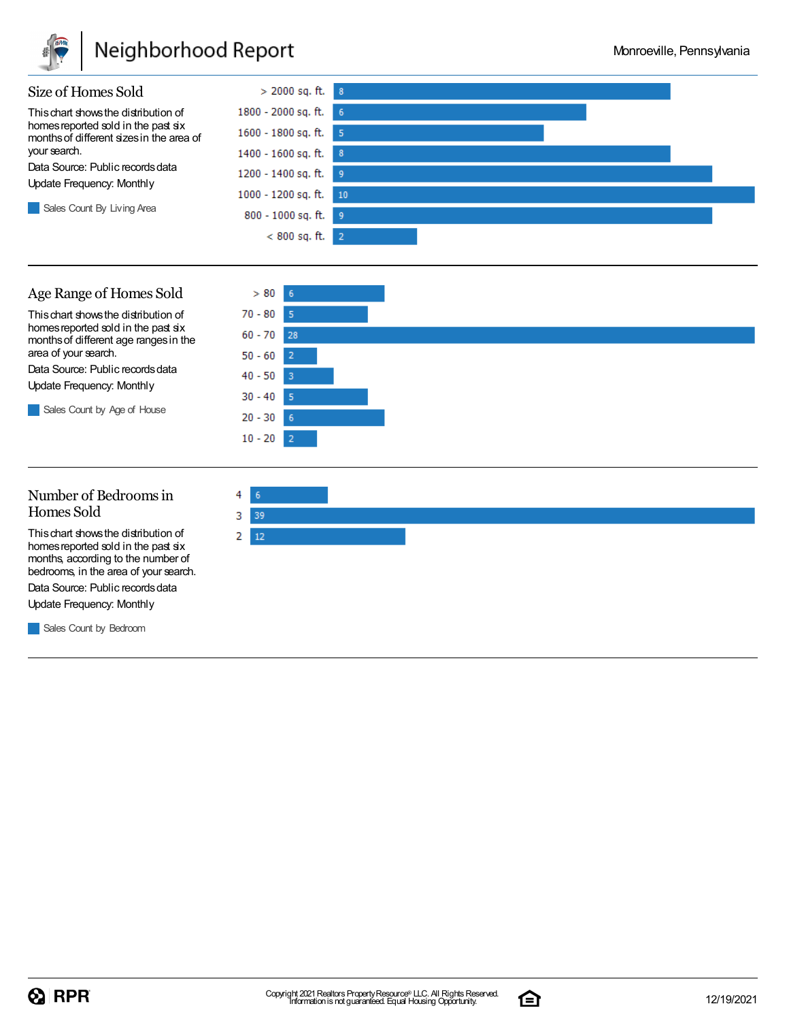

### Neighborhood Report





#### Number of Bedroomsin Homes Sold

Thischart showsthe distribution of homes reported sold in the past six months, according to the number of bedrooms, in the area of your search.

Data Source: Public records data Update Frequency: Monthly

**Sales Count by Bedroom** 



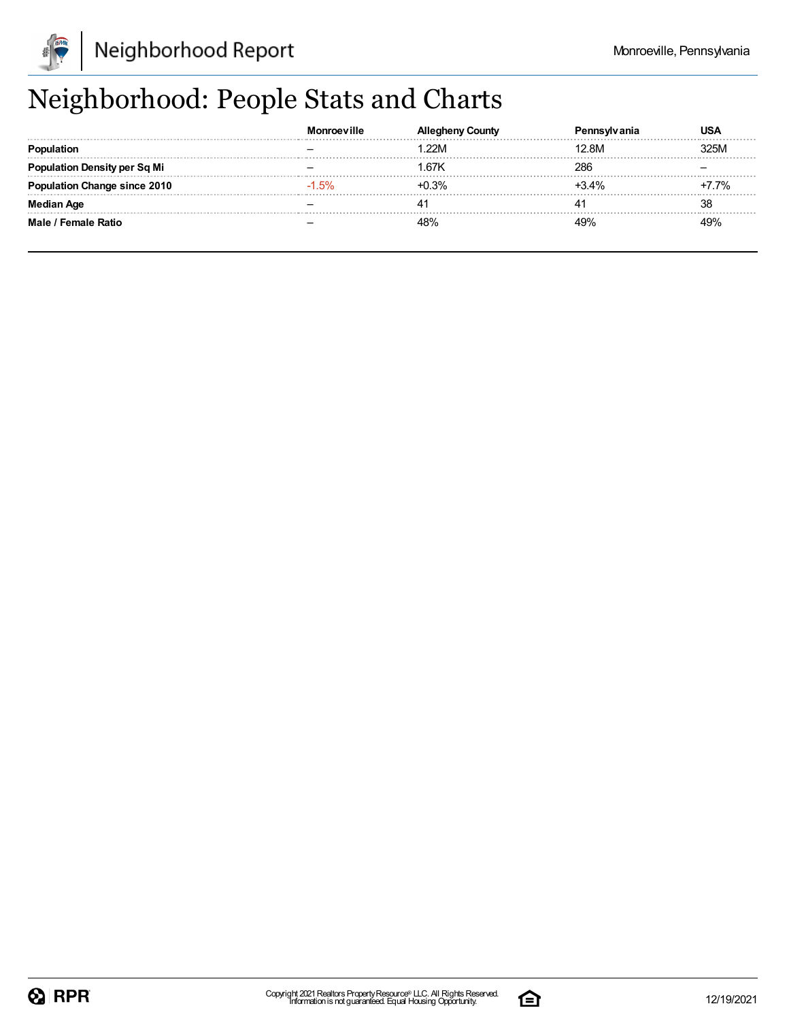

## Neighborhood: People Stats and Charts

|                               |          |        |             | USA  |
|-------------------------------|----------|--------|-------------|------|
|                               |          | 22M    | 12.8M       | 325M |
| <b>tion Density per Sq Mi</b> |          | 67K    | 286         |      |
| tion Change since 2010        | $-1.5\%$ | $.3\%$ | <b>+34%</b> | 7%   |
|                               |          |        |             | 38   |
| Male / Female Ratio           |          |        |             | 49%  |

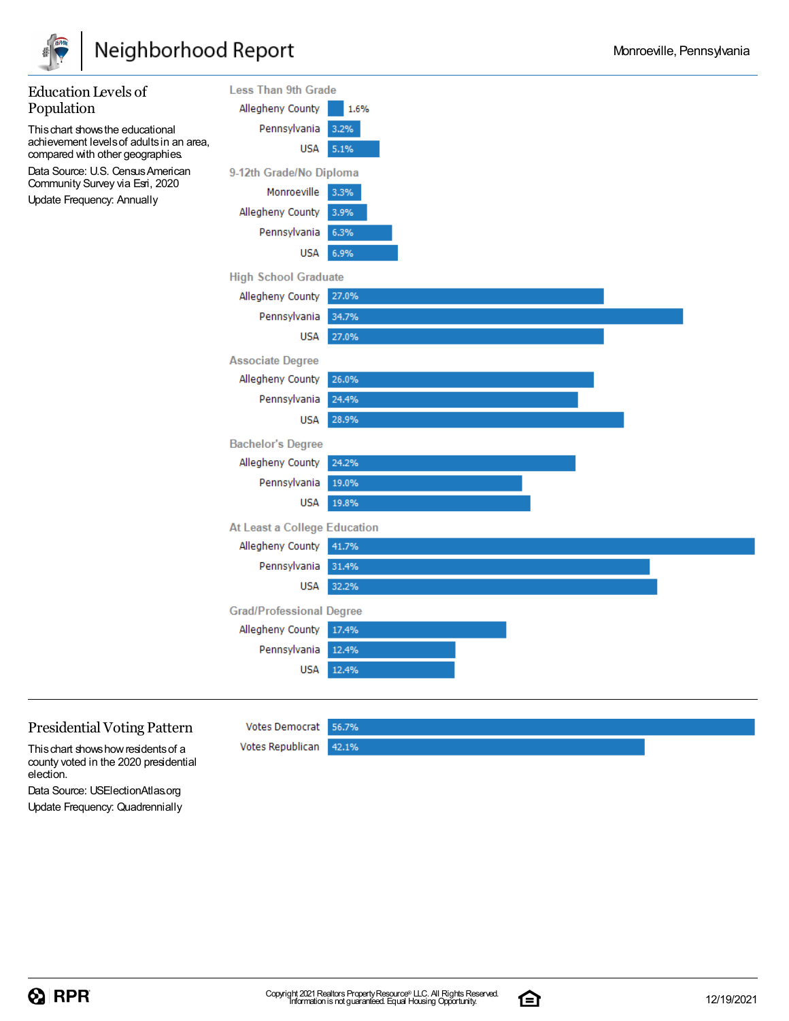



#### Presidential Voting Pattern

Thischart showshowresidentsof a county voted in the 2020 presidential election.

Votes Democrat 56.7% Votes Republican 42.1%

Data Source: USElectionAtlas.org Update Frequency: Quadrennially

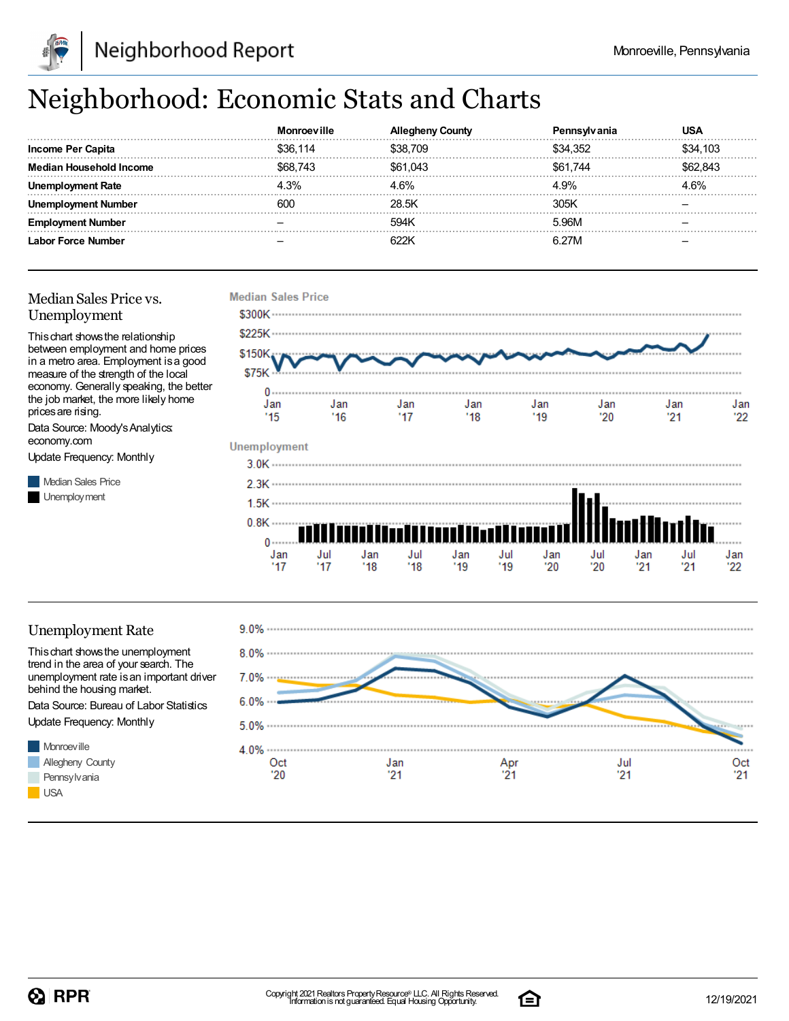

## Neighborhood: Economic Stats and Charts

|                         | Monroeville | שטעΩ     | anıa     | JSA      |
|-------------------------|-------------|----------|----------|----------|
| Income Per Capita       | \$36.114    | \$38.709 | \$34.352 | \$34.103 |
| Median Household Income | \$68.743    | \$61,043 | \$61.744 | .843     |
| l Rate<br>Jner          | 4.3%        | . 6%     | 4.9%     | 4 6%     |
| ovment Number           | 600         | 28.5K    | 305K     |          |
| . Number                |             | 594K     | 5.96M    |          |
| Labor Force Number      |             |          | R 97N    |          |

#### Median Sales Price vs. Unemployment

Thischart showsthe relationship between employment and home prices in a metro area. Employment isa good measure of the strength of the local economy. Generally speaking, the better the job market, the more likely home prices are rising.

Data Source: Moody'sAnalytics: economy.com

Update Frequency: Monthly

**Median Sales Price** Unemployment



#### Unemployment Rate

Thischart showsthe unemployment trend in the area of your search. The unemployment rate is an important driver behind the housing market.

Data Source: Bureau of Labor Statistics Update Frequency: Monthly





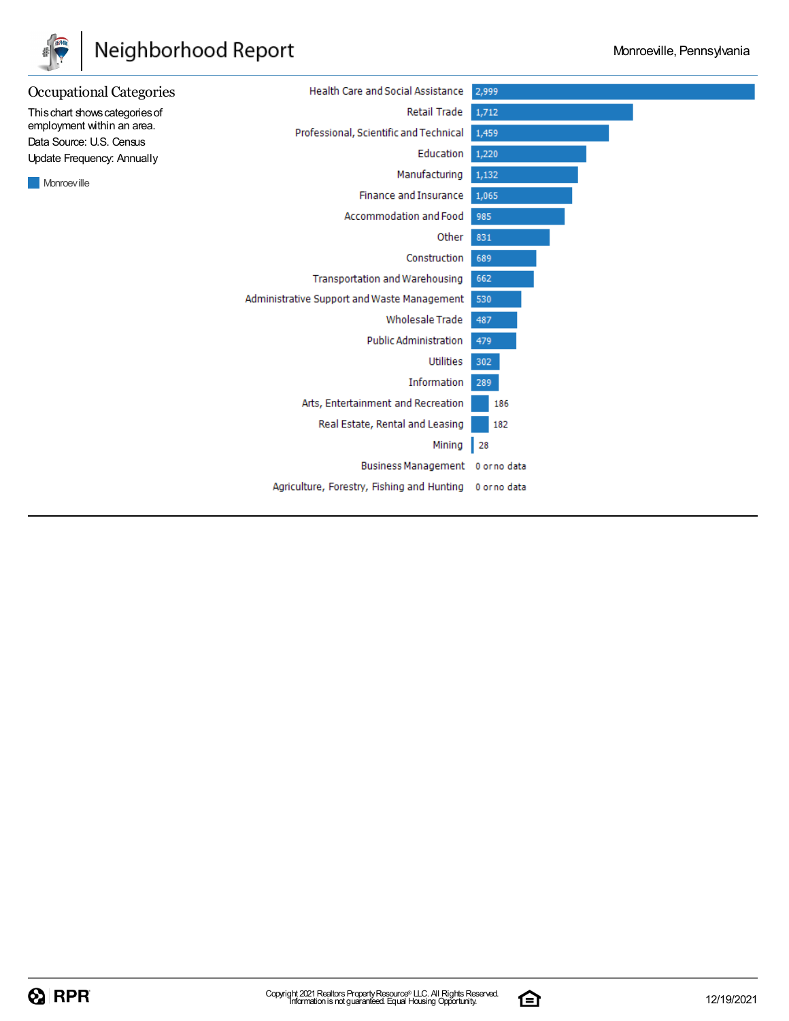

## Neighborhood Report



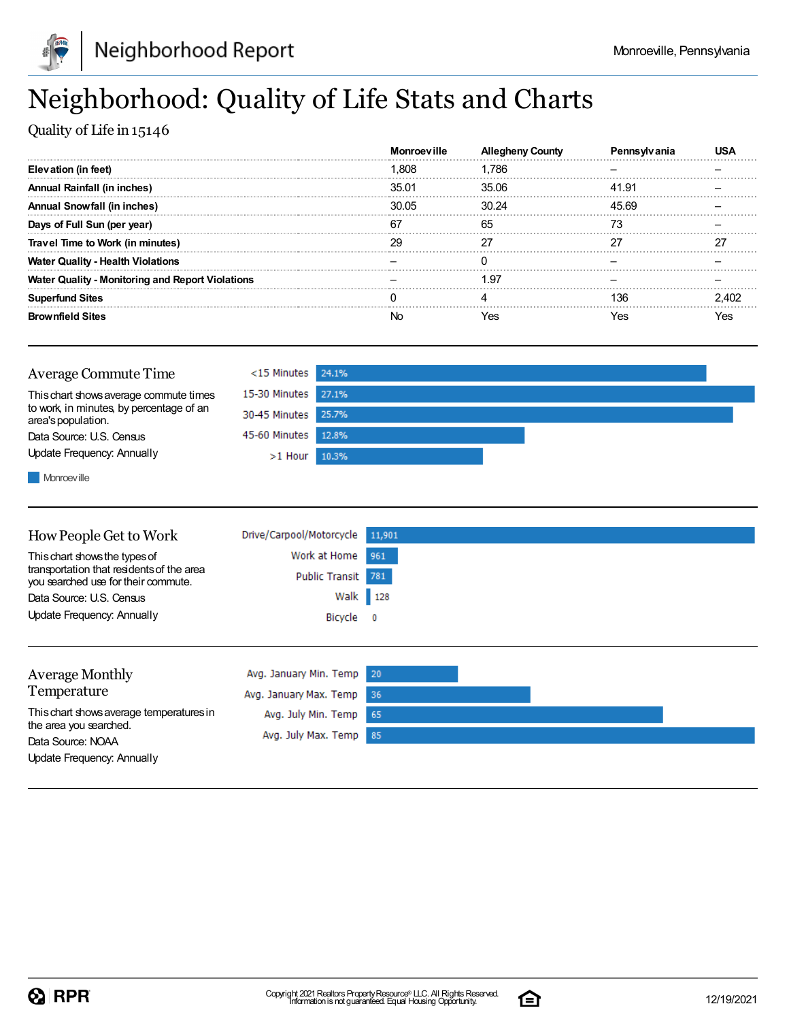

## Neighborhood: Quality of Life Stats and Charts

Quality of Life in 15146

|                                                         | <b>Monroeville</b> | Allegheny |       |  |
|---------------------------------------------------------|--------------------|-----------|-------|--|
| Elevation (in feet)                                     | 1.808              | 1.786     |       |  |
| Annual Rainfall (in inches)                             | 35.01              | 35.06     | 41.91 |  |
| <b>Annual Snowfall (in inches)</b>                      | 30.05              | 30.24     | 45.69 |  |
| Days of Full Sun (per year)                             | 67                 | 65        |       |  |
| Travel Time to Work (in minutes)                        | 29                 | 27        |       |  |
| <b>Water Quality - Health Violations</b>                |                    |           |       |  |
| <b>Water Quality - Monitoring and Report Violations</b> |                    | 1.97      |       |  |
| <b>Superfund Sites</b>                                  |                    |           | 136   |  |
| <b>Brownfield Sites</b>                                 |                    | Yes       | Yes   |  |



**Monroeville** 

| How People Get to Work                                                                                            | Drive/Carpool/Motorcycle | 11,901     |
|-------------------------------------------------------------------------------------------------------------------|--------------------------|------------|
| This chart shows the types of<br>transportation that residents of the area<br>you searched use for their commute. | Work at Home             | 961        |
|                                                                                                                   | Public Transit 781       |            |
| Data Source: U.S. Census                                                                                          | Walk 128                 |            |
| Update Frequency: Annually                                                                                        | Bicycle                  | $^{\circ}$ |
|                                                                                                                   |                          |            |
| <b>Average Monthly</b>                                                                                            | Avg. January Min. Temp   | 20         |
| Temperature                                                                                                       | Avg. January Max. Temp   | -36        |
| This chart shows average temperatures in<br>the area you searched.<br>Data Source: NOAA                           | Avg. July Min. Temp      | 65         |
|                                                                                                                   | Avg. July Max. Temp      | 85         |

Update Frequency: Annually

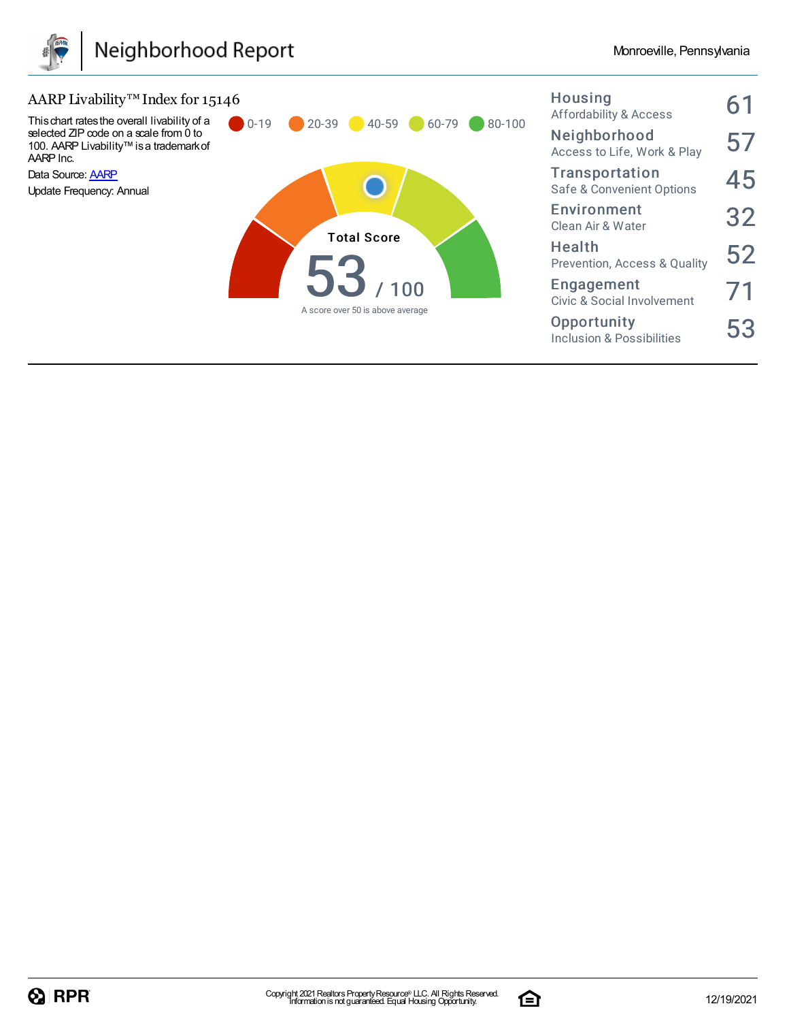